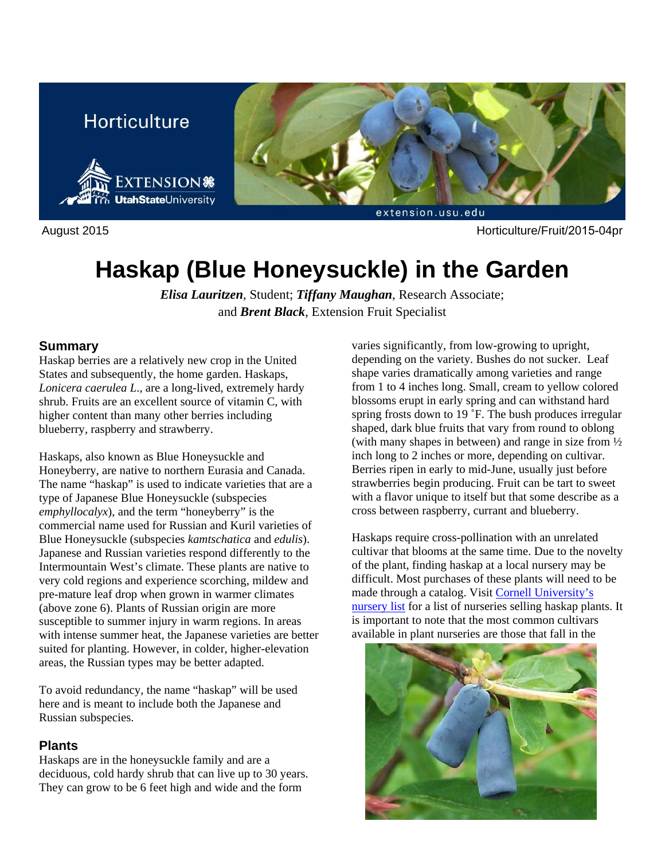



August 2015 Horticulture/Fruit/2015-04pr

# **Haskap (Blue Honeysuckle) in the Garden**

*Elisa Lauritzen*, Student; *Tiffany Maughan*, Research Associate; and *Brent Black*, Extension Fruit Specialist

#### **Summary**

Haskap berries are a relatively new crop in the United States and subsequently, the home garden. Haskaps, *Lonicera caerulea L*., are a long-lived, extremely hardy shrub. Fruits are an excellent source of vitamin C, with higher content than many other berries including blueberry, raspberry and strawberry.

Haskaps, also known as Blue Honeysuckle and Honeyberry, are native to northern Eurasia and Canada. The name "haskap" is used to indicate varieties that are a type of Japanese Blue Honeysuckle (subspecies *emphyllocalyx*), and the term "honeyberry" is the commercial name used for Russian and Kuril varieties of Blue Honeysuckle (subspecies *kamtschatica* and *edulis*). Japanese and Russian varieties respond differently to the Intermountain West's climate. These plants are native to very cold regions and experience scorching, mildew and pre-mature leaf drop when grown in warmer climates (above zone 6). Plants of Russian origin are more susceptible to summer injury in warm regions. In areas with intense summer heat, the Japanese varieties are better suited for planting. However, in colder, higher-elevation areas, the Russian types may be better adapted.

To avoid redundancy, the name "haskap" will be used here and is meant to include both the Japanese and Russian subspecies.

# **Plants**

Haskaps are in the honeysuckle family and are a deciduous, cold hardy shrub that can live up to 30 years. They can grow to be 6 feet high and wide and the form

varies significantly, from low-growing to upright, depending on the variety. Bushes do not sucker. Leaf shape varies dramatically among varieties and range from 1 to 4 inches long. Small, cream to yellow colored blossoms erupt in early spring and can withstand hard spring frosts down to 19 °F. The bush produces irregular shaped, dark blue fruits that vary from round to oblong (with many shapes in between) and range in size from ½ inch long to 2 inches or more, depending on cultivar. Berries ripen in early to mid-June, usually just before strawberries begin producing. Fruit can be tart to sweet with a flavor unique to itself but that some describe as a cross between raspberry, currant and blueberry.

Haskaps require cross-pollination with an unrelated cultivar that blooms at the same time. Due to the novelty of the plant, finding haskap at a local nursery may be difficult. Most purchases of these plants will need to be made through a catalog. Visit Cornell University's nursery list for a list of nurseries selling haskap plants. It is important to note that the most common cultivars available in plant nurseries are those that fall in the

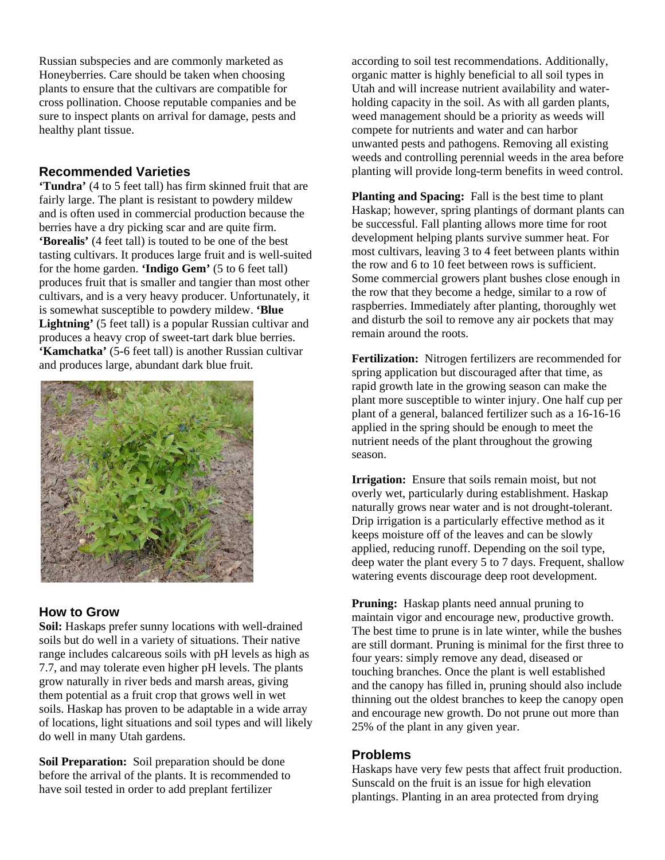Russian subspecies and are commonly marketed as Honeyberries. Care should be taken when choosing plants to ensure that the cultivars are compatible for cross pollination. Choose reputable companies and be sure to inspect plants on arrival for damage, pests and healthy plant tissue.

## **Recommended Varieties**

**'Tundra'** (4 to 5 feet tall) has firm skinned fruit that are fairly large. The plant is resistant to powdery mildew and is often used in commercial production because the berries have a dry picking scar and are quite firm. **'Borealis'** (4 feet tall) is touted to be one of the best tasting cultivars. It produces large fruit and is well-suited for the home garden. **'Indigo Gem'** (5 to 6 feet tall) produces fruit that is smaller and tangier than most other cultivars, and is a very heavy producer. Unfortunately, it is somewhat susceptible to powdery mildew. **'Blue Lightning'** (5 feet tall) is a popular Russian cultivar and produces a heavy crop of sweet-tart dark blue berries. **'Kamchatka'** (5-6 feet tall) is another Russian cultivar and produces large, abundant dark blue fruit.



#### **How to Grow**

**Soil:** Haskaps prefer sunny locations with well-drained soils but do well in a variety of situations. Their native range includes calcareous soils with pH levels as high as 7.7, and may tolerate even higher pH levels. The plants grow naturally in river beds and marsh areas, giving them potential as a fruit crop that grows well in wet soils. Haskap has proven to be adaptable in a wide array of locations, light situations and soil types and will likely do well in many Utah gardens.

**Soil Preparation:** Soil preparation should be done before the arrival of the plants. It is recommended to have soil tested in order to add preplant fertilizer

according to soil test recommendations. Additionally, organic matter is highly beneficial to all soil types in Utah and will increase nutrient availability and waterholding capacity in the soil. As with all garden plants, weed management should be a priority as weeds will compete for nutrients and water and can harbor unwanted pests and pathogens. Removing all existing weeds and controlling perennial weeds in the area before planting will provide long-term benefits in weed control.

**Planting and Spacing:** Fall is the best time to plant Haskap; however, spring plantings of dormant plants can be successful. Fall planting allows more time for root development helping plants survive summer heat. For most cultivars, leaving 3 to 4 feet between plants within the row and 6 to 10 feet between rows is sufficient. Some commercial growers plant bushes close enough in the row that they become a hedge, similar to a row of raspberries. Immediately after planting, thoroughly wet and disturb the soil to remove any air pockets that may remain around the roots.

**Fertilization:** Nitrogen fertilizers are recommended for spring application but discouraged after that time, as rapid growth late in the growing season can make the plant more susceptible to winter injury. One half cup per plant of a general, balanced fertilizer such as a 16-16-16 applied in the spring should be enough to meet the nutrient needs of the plant throughout the growing season.

**Irrigation:** Ensure that soils remain moist, but not overly wet, particularly during establishment. Haskap naturally grows near water and is not drought-tolerant. Drip irrigation is a particularly effective method as it keeps moisture off of the leaves and can be slowly applied, reducing runoff. Depending on the soil type, deep water the plant every 5 to 7 days. Frequent, shallow watering events discourage deep root development.

**Pruning:** Haskap plants need annual pruning to maintain vigor and encourage new, productive growth. The best time to prune is in late winter, while the bushes are still dormant. Pruning is minimal for the first three to four years: simply remove any dead, diseased or touching branches. Once the plant is well established and the canopy has filled in, pruning should also include thinning out the oldest branches to keep the canopy open and encourage new growth. Do not prune out more than 25% of the plant in any given year.

#### **Problems**

Haskaps have very few pests that affect fruit production. Sunscald on the fruit is an issue for high elevation plantings. Planting in an area protected from drying